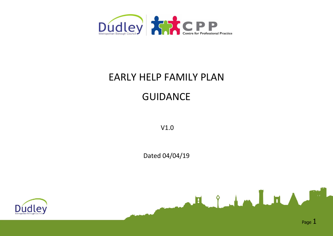

# EARLY HELP FAMILY PLAN

## GUIDANCE

V1.0

Dated 04/04/19





H in La La La La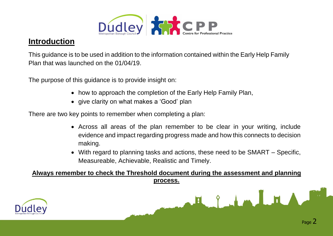

### **Introduction**

This guidance is to be used in addition to the information contained within the Early Help Family Plan that was launched on the 01/04/19.

The purpose of this guidance is to provide insight on:

- how to approach the completion of the Early Help Family Plan,
- give clarity on what makes a 'Good' plan

There are two key points to remember when completing a plan:

- Across all areas of the plan remember to be clear in your writing, include evidence and impact regarding progress made and how this connects to decision making.
- With regard to planning tasks and actions, these need to be SMART Specific, Measureable, Achievable, Realistic and Timely.

#### **Always remember to check the Threshold document during the assessment and planning process.**



F. J. L. L. L. H.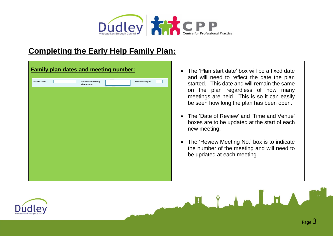

## **Completing the Early Help Family Plan:**

| Plan start date: |  | Date of review meeting:<br>Time & Venue: | <b>Review Meeting No.</b> |  |
|------------------|--|------------------------------------------|---------------------------|--|
|                  |  |                                          |                           |  |
|                  |  |                                          |                           |  |
|                  |  |                                          |                           |  |
|                  |  |                                          |                           |  |
|                  |  |                                          |                           |  |
|                  |  |                                          |                           |  |
|                  |  |                                          |                           |  |
|                  |  |                                          |                           |  |
|                  |  |                                          |                           |  |
|                  |  |                                          |                           |  |
|                  |  |                                          |                           |  |
|                  |  |                                          |                           |  |
|                  |  |                                          |                           |  |
|                  |  |                                          |                           |  |
|                  |  |                                          |                           |  |

- The 'Plan start date' box will be a fixed date and will need to reflect the date the plan started. This date and will remain the same on the plan regardless of how many meetings are held. This is so it can easily be seen how long the plan has been open.
- The 'Date of Review' and 'Time and Venue' boxes are to be updated at the start of each new meeting.
- The 'Review Meeting No.' box is to indicate the number of the meeting and will need to be updated at each meeting.

FL & Lm L TL A

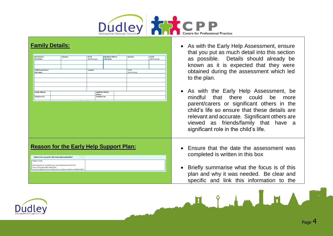

| <b>Family Details:</b>                                                                                                                                                                                   |         |                                                                     |                                                                 |                                  |                       | • As with the Early Help Assessment, ensure<br>that you put as much detail into this section                                                                                                                                                                                          |
|----------------------------------------------------------------------------------------------------------------------------------------------------------------------------------------------------------|---------|---------------------------------------------------------------------|-----------------------------------------------------------------|----------------------------------|-----------------------|---------------------------------------------------------------------------------------------------------------------------------------------------------------------------------------------------------------------------------------------------------------------------------------|
| Parent/Carer<br><b>First Name</b><br>Child/Young Person<br><b>First Name</b><br><b>Family Address:</b><br>Telephone No.                                                                                  | Surname | D.O.B<br>(dd/mm/yyyy)<br>Surname<br><b>Address</b><br>Telephone No. | Significant Other/s<br><b>First Name</b><br>Significant Other/s | Surname<br>D.O.B<br>(dd/mm/yyyy) | D.O.B<br>(dd/mm/yyyy) | as possible. Details should already be<br>known as it is expected that they were<br>obtained during the assessment which led<br>to the plan.<br>• As with the Early Help Assessment, be<br>mindful<br>there could<br>that<br>be<br>more<br>parent/carers or significant others in the |
|                                                                                                                                                                                                          |         |                                                                     |                                                                 |                                  |                       | child's life so ensure that these details are<br>relevant and accurate. Significant others are<br>viewed as friends/family that have a<br>significant role in the child's life.                                                                                                       |
| <b>Reason for the Early Help Support Plan:</b><br>What is the reason for this Early Help Family Plan?                                                                                                    |         |                                                                     |                                                                 |                                  |                       | • Ensure that the date the assessment was<br>completed is written in this box                                                                                                                                                                                                         |
| Please include:<br>Date Assessment completed (e.g. Early Help Assessment/CYPA)<br>Focus of this Early Help Family Plan<br>Have any significant events taken place since the completion of the last Plan? |         |                                                                     |                                                                 |                                  |                       | Briefly summarise what the focus is of this<br>plan and why it was needed. Be clear and<br>specific and link this information to the                                                                                                                                                  |



Page 4

H & L L L H A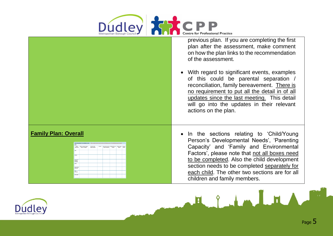

|                                                                    | previous plan. If you are completing the first<br>plan after the assessment, make comment<br>on how the plan links to the recommendation<br>of the assessment.<br>With regard to significant events, examples<br>of this could be parental separation /<br>reconciliation, family bereavement. There is<br>no requirement to put all the detail in of all<br>updates since the last meeting. This detail<br>will go into the updates in their relevant<br>actions on the plan. |
|--------------------------------------------------------------------|--------------------------------------------------------------------------------------------------------------------------------------------------------------------------------------------------------------------------------------------------------------------------------------------------------------------------------------------------------------------------------------------------------------------------------------------------------------------------------|
| <b>Family Plan: Overall</b><br>Family and Social<br>Ratarismultips | • In the sections relating to 'Child/Young<br>Person's Developmental Needs', 'Parenting<br>Capacity' and 'Family and Environmental<br>Factors', please note that not all boxes need<br>to be completed. Also the child development<br>section needs to be completed separately for<br>each child. The other two sections are for all<br>children and family members.                                                                                                           |
|                                                                    |                                                                                                                                                                                                                                                                                                                                                                                                                                                                                |

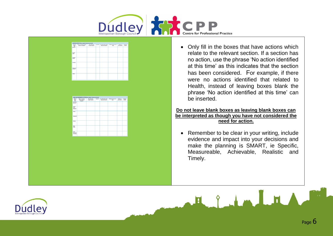



• Only fill in the boxes that have actions which relate to the relevant section. If a section has no action, use the phrase 'No action identified at this time' as this indicates that the section has been considered. For example, if there were no actions identified that related to Health, instead of leaving boxes blank the phrase 'No action identified at this time' can be inserted.

#### **Do not leave blank boxes as leaving blank boxes can be interpreted as though you have not considered the need for action.**

• Remember to be clear in your writing, include evidence and impact into your decisions and make the planning is SMART, ie Specific, Measureable, Achievable, Realistic and Timely.

H & Lm LH



 $\frac{1}{\sqrt{1}}$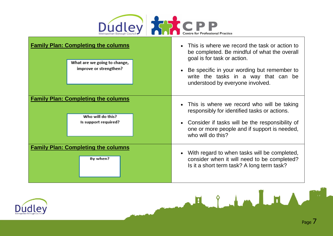

| <b>Family Plan: Completing the columns</b><br>What are we going to change,<br>improve or strengthen? | This is where we record the task or action to<br>be completed. Be mindful of what the overall<br>goal is for task or action.<br>Be specific in your wording but remember to<br>write the tasks in a way that can be<br>understood by everyone involved. |  |  |  |
|------------------------------------------------------------------------------------------------------|---------------------------------------------------------------------------------------------------------------------------------------------------------------------------------------------------------------------------------------------------------|--|--|--|
| <b>Family Plan: Completing the columns</b>                                                           | This is where we record who will be taking                                                                                                                                                                                                              |  |  |  |
| Who will do this?                                                                                    | responsibly for identified tasks or actions.                                                                                                                                                                                                            |  |  |  |
| Is support required?                                                                                 | • Consider if tasks will be the responsibility of<br>one or more people and if support is needed,<br>who will do this?                                                                                                                                  |  |  |  |
| <b>Family Plan: Completing the columns</b>                                                           | With regard to when tasks will be completed,                                                                                                                                                                                                            |  |  |  |
| By when?                                                                                             | $\bullet$<br>consider when it will need to be completed?<br>Is it a short term task? A long term task?                                                                                                                                                  |  |  |  |



F. L. L. L. L. L.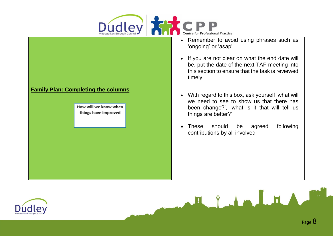

|                                                                                             | • Remember to avoid using phrases such as<br>'ongoing' or 'asap'<br>• If you are not clear on what the end date will<br>be, put the date of the next TAF meeting into<br>this section to ensure that the task is reviewed<br>timely.                                        |
|---------------------------------------------------------------------------------------------|-----------------------------------------------------------------------------------------------------------------------------------------------------------------------------------------------------------------------------------------------------------------------------|
| <b>Family Plan: Completing the columns</b><br>How will we know when<br>things have improved | With regard to this box, ask yourself 'what will<br>$\bullet$<br>we need to see to show us that there has<br>been change?', 'what is it that will tell us<br>things are better?'<br>These should<br>following<br>be<br>agreed<br>$\bullet$<br>contributions by all involved |



F. L. L. L. L. L. Mille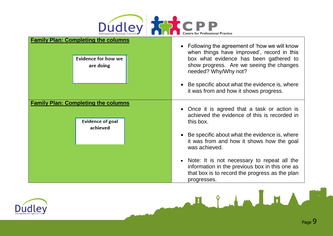

| <b>Family Plan: Completing the columns</b><br><b>Evidence for how we</b><br>are doing | Following the agreement of 'how we will know<br>when things have improved', record in this<br>box what evidence has been gathered to<br>show progress. Are we seeing the changes<br>needed? Why/Why not?<br>Be specific about what the evidence is, where<br>it was from and how it shows progress.                                                                                      |
|---------------------------------------------------------------------------------------|------------------------------------------------------------------------------------------------------------------------------------------------------------------------------------------------------------------------------------------------------------------------------------------------------------------------------------------------------------------------------------------|
| <b>Family Plan: Completing the columns</b><br>Evidence of goal<br>achieved            | Once it is agreed that a task or action is<br>achieved the evidence of this is recorded in<br>this box.<br>Be specific about what the evidence is, where<br>it was from and how it shows how the goal<br>was achieved.<br>Note: It is not necessary to repeat all the<br>information in the previous box in this one as<br>that box is to record the progress as the plan<br>progresses. |
|                                                                                       |                                                                                                                                                                                                                                                                                                                                                                                          |

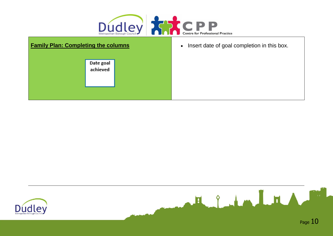



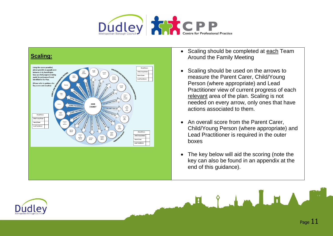

#### **Scaling:**



- Scaling should be completed at each Team Around the Family Meeting
- Scaling should be used on the arrows to measure the Parent Carer, Child/Young Person (where appropriate) and Lead Practitioner view of current progress of each relevant area of the plan. Scaling is not needed on every arrow, only ones that have actions associated to them.
- An overall score from the Parent Carer, Child/Young Person (where appropriate) and Lead Practitioner is required in the outer boxes
- The key below will aid the scoring (note the key can also be found in an appendix at the end of this guidance).

H & Lm LH



**The Second**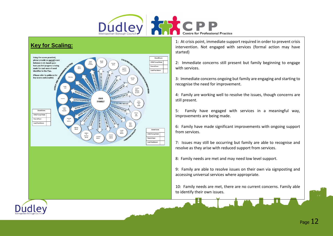

#### **Key for Scaling:**



1: At crisis point, immediate support required in order to prevent crisis intervention. Not engaged with services (formal action may have started)

2: Immediate concerns still present but family beginning to engage with services.

3: Immediate concerns ongoing but family are engaging and starting to recognise the need for improvement.

4: Family are working well to resolve the issues, though concerns are still present.

5: Family have engaged with services in a meaningful way, improvements are being made.

6: Family have made significant improvements with ongoing support from services.

7: Issues may still be occurring but family are able to recognise and resolve as they arise with reduced support from services.

8: Family needs are met and may need low level support.

9: Family are able to resolve issues on their own via signposting and accessing universal services where appropriate.

10: Family needs are met, there are no current concerns. Family able to identify their own issues.

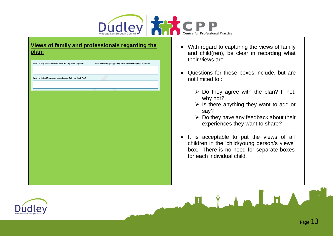

#### **Views of family and professionals regarding the plan:**

| What are the parents/carers views about the Early Help Family Plan?     | What are the child/young person/s views about the Early Help Family Plan? |
|-------------------------------------------------------------------------|---------------------------------------------------------------------------|
|                                                                         |                                                                           |
|                                                                         |                                                                           |
| What are the Lead Practitioners views about the Early Help Family Plan? |                                                                           |
|                                                                         |                                                                           |
|                                                                         |                                                                           |
|                                                                         |                                                                           |
|                                                                         |                                                                           |
|                                                                         |                                                                           |
|                                                                         |                                                                           |
|                                                                         |                                                                           |
|                                                                         |                                                                           |
|                                                                         |                                                                           |
|                                                                         |                                                                           |
|                                                                         |                                                                           |
|                                                                         |                                                                           |
|                                                                         |                                                                           |
|                                                                         |                                                                           |
|                                                                         |                                                                           |
|                                                                         |                                                                           |
|                                                                         |                                                                           |
|                                                                         |                                                                           |
|                                                                         |                                                                           |

- With regard to capturing the views of family and child(ren), be clear in recording what their views are.
- Questions for these boxes include, but are not limited to :
	- $\triangleright$  Do they agree with the plan? If not, why not?
	- $\triangleright$  Is there anything they want to add or say?
	- $\triangleright$  Do they have any feedback about their experiences they want to share?

H g dm In

• It is acceptable to put the views of all children in the 'child/young person/s views' box. There is no need for separate boxes for each individual child.

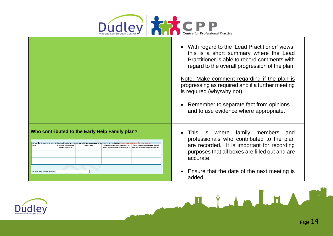

|                                                                                                                                                                                             | • With regard to the 'Lead Practitioner' views,<br>this is a short summary where the Lead<br>Practitioner is able to record comments with<br>regard to the overall progression of the plan.<br>Note: Make comment regarding if the plan is<br>progressing as required and if a further meeting<br>is required (why/why not).<br>• Remember to separate fact from opinions<br>and to use evidence where appropriate. |
|---------------------------------------------------------------------------------------------------------------------------------------------------------------------------------------------|---------------------------------------------------------------------------------------------------------------------------------------------------------------------------------------------------------------------------------------------------------------------------------------------------------------------------------------------------------------------------------------------------------------------|
| Who contributed to the Early Help Family plan?<br>Please list the parent(s)/carer(s)/professional(s) who supported with the completion of the Early Help Family Plan.<br>Person/Parent/Care | • This is where family members<br>and<br>professionals who contributed to the plan<br>are recorded. It is important for recording<br>purposes that all boxes are filled out and are<br>accurate.                                                                                                                                                                                                                    |
| Date of Next Review Meeting                                                                                                                                                                 | • Ensure that the date of the next meeting is<br>added.                                                                                                                                                                                                                                                                                                                                                             |





H. L. L. L. H. L. M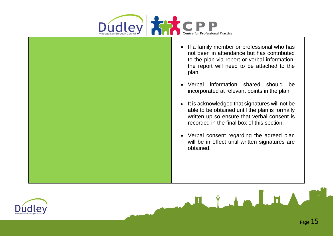



- If a family member or professional who has not been in attendance but has contributed to the plan via report or verbal information, the report will need to be attached to the
- Verbal information shared should be incorporated at relevant points in the plan.
- It is acknowledged that signatures will not be able to be obtained until the plan is formally written up so ensure that verbal consent is recorded in the final box of this section.
- Verbal consent regarding the agreed plan will be in effect until written signatures are obtained.

H & Lm LH

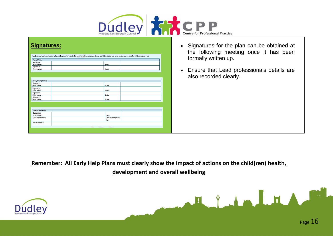

#### **Signatures:** Signatures: **Signatures: Signatures** for the plan can be obtained at Lunderstand and confirm the information that is recorded on this form is accurate, and that it will be stored and used for the purposes of providing support to Parent/Carer Signature: Print name: Date: Signature: Print name Date: **Child/Young Person** Signature: Print name Date: Signature: Print name Date: Signature: Print name Date: Signature: Print name Date: Lead Practitione Signature: Print name Date: **Contact Address Contact Telephone** No: Email address

- the following meeting once it has been formally written up.
- Ensure that Lead professionals details are also recorded clearly.

Helen Ln Ln

#### **Remember: All Early Help Plans must clearly show the impact of actions on the child(ren) health, development and overall wellbeing**



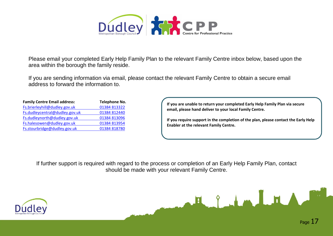

Please email your completed Early Help Family Plan to the relevant Family Centre inbox below, based upon the area within the borough the family reside.

If you are sending information via email, please contact the relevant Family Centre to obtain a secure email address to forward the information to.

| <b>Family Centre Email address:</b> | <b>Telephone No.</b> |
|-------------------------------------|----------------------|
| Fs.brierleyhill@dudley.gov.uk       | 01384 813322         |
| Fs.dudleycentral@dudley.gov.uk      | 01384 812440         |
| Fs.dudleynorth@dudley.gov.uk        | 01384 813096         |
| Fs.halesowen@dudley.gov.uk          | 01384 813954         |
| Fs.stourbridge@dudley.gov.uk        | 01384 818780         |

**If you are unable to return your completed Early Help Family Plan via secure email, please hand deliver to your local Family Centre.**

**If you require support in the completion of the plan, please contact the Early Help Enabler at the relevant Family Centre.**

Egyhmlei

If further support is required with regard to the process or completion of an Early Help Family Plan, contact should be made with your relevant Family Centre.



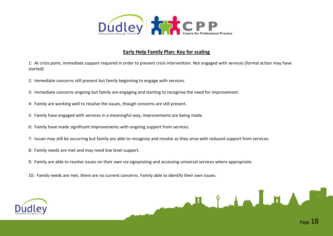

#### **Early Help Family Plan: Key for scaling**

1: At crisis point, immediate support required in order to prevent crisis intervention. Not engaged with services (formal action may have started)

- 2: Immediate concerns still present but family beginning to engage with services.
- 3: Immediate concerns ongoing but family are engaging and starting to recognise the need for improvement.
- 4: Family are working well to resolve the issues, though concerns are still present.
- 5: Family have engaged with services in a meaningful way, improvements are being made.
- 6: Family have made significant improvements with ongoing support from services.
- 7: Issues may still be occurring but family are able to recognise and resolve as they arise with reduced support from services.
- 8: Family needs are met and may need low level support.
- 9: Family are able to resolve issues on their own via signposting and accessing universal services where appropriate.
- 10: Family needs are met, there are no current concerns. Family able to identify their own issues.





H J Lm LH